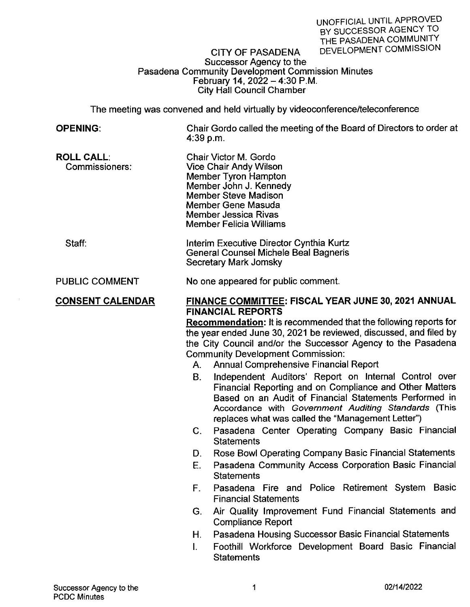## Successor Agency to the Pasadena Community Development Commission Minutes February 14, 2022 - 4:30 P.M. City Hall Council Chamber

The meeting was convened and held virtually by videoconference/teleconference

| <b>OPENING:</b>                     | $4:39$ p.m.                                                                                                                                                                                                                                                                                                                                                                                                                                                                                                                                                                                                                                                                      | Chair Gordo called the meeting of the Board of Directors to order at                                                                                                                                                           |  |  |  |  |
|-------------------------------------|----------------------------------------------------------------------------------------------------------------------------------------------------------------------------------------------------------------------------------------------------------------------------------------------------------------------------------------------------------------------------------------------------------------------------------------------------------------------------------------------------------------------------------------------------------------------------------------------------------------------------------------------------------------------------------|--------------------------------------------------------------------------------------------------------------------------------------------------------------------------------------------------------------------------------|--|--|--|--|
| <b>ROLL CALL:</b><br>Commissioners: |                                                                                                                                                                                                                                                                                                                                                                                                                                                                                                                                                                                                                                                                                  | Chair Victor M. Gordo<br><b>Vice Chair Andy Wilson</b><br>Member Tyron Hampton<br>Member John J. Kennedy<br><b>Member Steve Madison</b><br>Member Gene Masuda<br><b>Member Jessica Rivas</b><br><b>Member Felicia Williams</b> |  |  |  |  |
| Staff:                              | Interim Executive Director Cynthia Kurtz<br>General Counsel Michele Beal Bagneris<br>Secretary Mark Jomsky                                                                                                                                                                                                                                                                                                                                                                                                                                                                                                                                                                       |                                                                                                                                                                                                                                |  |  |  |  |
| <b>PUBLIC COMMENT</b>               | No one appeared for public comment.                                                                                                                                                                                                                                                                                                                                                                                                                                                                                                                                                                                                                                              |                                                                                                                                                                                                                                |  |  |  |  |
| <b>CONSENT CALENDAR</b>             | FINANCE COMMITTEE: FISCAL YEAR JUNE 30, 2021 ANNUAL<br><b>FINANCIAL REPORTS</b><br>Recommendation: It is recommended that the following reports for<br>the year ended June 30, 2021 be reviewed, discussed, and filed by<br>the City Council and/or the Successor Agency to the Pasadena<br><b>Community Development Commission:</b><br>A. Annual Comprehensive Financial Report<br>Independent Auditors' Report on Internal Control over<br>В.<br>Financial Reporting and on Compliance and Other Matters<br>Based on an Audit of Financial Statements Performed in<br>Accordance with Government Auditing Standards (This<br>replaces what was called the "Management Letter") |                                                                                                                                                                                                                                |  |  |  |  |
|                                     | С.                                                                                                                                                                                                                                                                                                                                                                                                                                                                                                                                                                                                                                                                               | Pasadena Center Operating Company Basic Financial<br><b>Statements</b>                                                                                                                                                         |  |  |  |  |
|                                     | D.                                                                                                                                                                                                                                                                                                                                                                                                                                                                                                                                                                                                                                                                               | Rose Bowl Operating Company Basic Financial Statements                                                                                                                                                                         |  |  |  |  |
|                                     | E.                                                                                                                                                                                                                                                                                                                                                                                                                                                                                                                                                                                                                                                                               | Pasadena Community Access Corporation Basic Financial<br><b>Statements</b>                                                                                                                                                     |  |  |  |  |
|                                     | F.                                                                                                                                                                                                                                                                                                                                                                                                                                                                                                                                                                                                                                                                               | Pasadena Fire and Police Retirement System Basic<br><b>Financial Statements</b>                                                                                                                                                |  |  |  |  |
|                                     | G.                                                                                                                                                                                                                                                                                                                                                                                                                                                                                                                                                                                                                                                                               | Air Quality Improvement Fund Financial Statements and<br><b>Compliance Report</b>                                                                                                                                              |  |  |  |  |
|                                     | Н.                                                                                                                                                                                                                                                                                                                                                                                                                                                                                                                                                                                                                                                                               | Pasadena Housing Successor Basic Financial Statements                                                                                                                                                                          |  |  |  |  |
|                                     |                                                                                                                                                                                                                                                                                                                                                                                                                                                                                                                                                                                                                                                                                  | Foothill Workforce Development Board Basic Financial                                                                                                                                                                           |  |  |  |  |

**Statements**